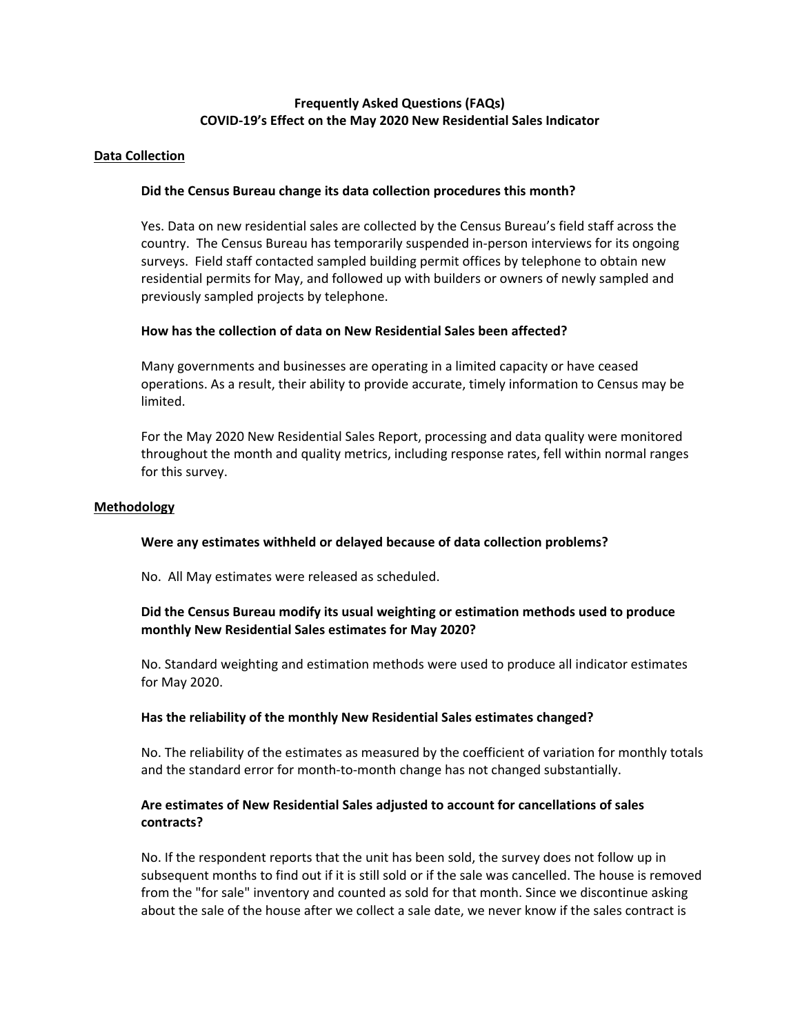# **Frequently Asked Questions (FAQs) COVID-19's Effect on the May 2020 New Residential Sales Indicator**

## **Data Collection**

## **Did the Census Bureau change its data collection procedures this month?**

Yes. Data on new residential sales are collected by the Census Bureau's field staff across the country. The Census Bureau has temporarily suspended in-person interviews for its ongoing surveys. Field staff contacted sampled building permit offices by telephone to obtain new residential permits for May, and followed up with builders or owners of newly sampled and previously sampled projects by telephone.

## **How has the collection of data on New Residential Sales been affected?**

Many governments and businesses are operating in a limited capacity or have ceased operations. As a result, their ability to provide accurate, timely information to Census may be limited.

For the May 2020 New Residential Sales Report, processing and data quality were monitored throughout the month and quality metrics, including response rates, fell within normal ranges for this survey.

#### **Methodology**

## **Were any estimates withheld or delayed because of data collection problems?**

No. All May estimates were released as scheduled.

# **Did the Census Bureau modify its usual weighting or estimation methods used to produce monthly New Residential Sales estimates for May 2020?**

No. Standard weighting and estimation methods were used to produce all indicator estimates for May 2020.

#### **Has the reliability of the monthly New Residential Sales estimates changed?**

No. The reliability of the estimates as measured by the coefficient of variation for monthly totals and the standard error for month-to-month change has not changed substantially.

## **Are estimates of New Residential Sales adjusted to account for cancellations of sales contracts?**

No. If the respondent reports that the unit has been sold, the survey does not follow up in subsequent months to find out if it is still sold or if the sale was cancelled. The house is removed from the "for sale" inventory and counted as sold for that month. Since we discontinue asking about the sale of the house after we collect a sale date, we never know if the sales contract is